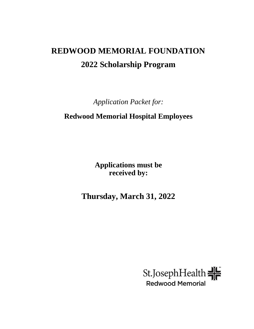# **REDWOOD MEMORIAL FOUNDATION 2022 Scholarship Program**

*Application Packet for:*

# **Redwood Memorial Hospital Employees**

**Applications must be received by:**

**Thursday, March 31, 2022**

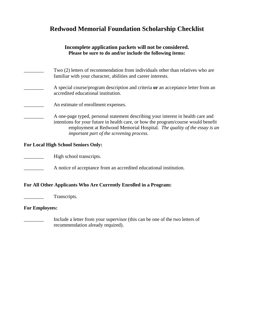# **Redwood Memorial Foundation Scholarship Checklist**

#### **Incomplete application packets will not be considered. Please be sure to do and/or include the following items:**

| Two (2) letters of recommendation from individuals other than relatives who are<br>familiar with your character, abilities and career interests.                       |
|------------------------------------------------------------------------------------------------------------------------------------------------------------------------|
| A special course/program description and criteria or an acceptance letter from an<br>accredited educational institution.                                               |
| An estimate of enrollment expenses.                                                                                                                                    |
| A one-page typed, personal statement describing your interest in health care and<br>intentions for your future in health care, or how the program/course would benefit |

employment at Redwood Memorial Hospital. *The quality of the essay is an* 

#### **For Local High School Seniors Only:**

High school transcripts.

**EXECUTE:** A notice of acceptance from an accredited educational institution.

 *important part of the screening process.*

#### **For All Other Applicants Who Are Currently Enrolled in a Program:**

**Transcripts.** 

#### **For Employees:**

Include a letter from your supervisor (this can be one of the two letters of recommendation already required).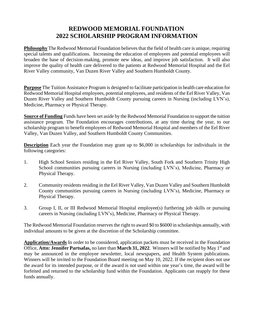## **REDWOOD MEMORIAL FOUNDATION 2022 SCHOLARSHIP PROGRAM INFORMATION**

**Philosophy** The Redwood Memorial Foundation believes that the field of health care is unique, requiring special talents and qualifications. Increasing the education of employees and potential employees will broaden the base of decision-making, promote new ideas, and improve job satisfaction. It will also improve the quality of health care delivered to the patients at Redwood Memorial Hospital and the Eel River Valley community, Van Duzen River Valley and Southern Humboldt County.

**Purpose** The Tuition Assistance Program is designed to facilitate participation in health care education for Redwood Memorial Hospital employees, potential employees, and residents of the Eel River Valley, Van Duzen River Valley and Southern Humboldt County pursuing careers in Nursing (including LVN's), Medicine, Pharmacy or Physical Therapy.

**Source of Funding** Funds have been set aside by the Redwood Memorial Foundation to support the tuition assistance program. The Foundation encourages contributions, at any time during the year, to our scholarship program to benefit employees of Redwood Memorial Hospital and members of the Eel River Valley, Van Duzen Valley, and Southern Humboldt County Communities.

**Description** Each year the Foundation may grant up to \$6,000 in scholarships for individuals in the following categories:

- 1. High School Seniors residing in the Eel River Valley, South Fork and Southern Trinity High School communities pursuing careers in Nursing (including LVN's), Medicine, Pharmacy or Physical Therapy.
- 2. Community residents residing in the Eel River Valley, Van Duzen Valley and Southern Humboldt County communities pursuing careers in Nursing (including LVN's), Medicine, Pharmacy or Physical Therapy.
- 3. Group I, II, or III Redwood Memorial Hospital employee(s) furthering job skills or pursuing careers in Nursing (including LVN's), Medicine, Pharmacy or Physical Therapy.

The Redwood Memorial Foundation reserves the right to award \$0 to \$6000 in scholarships annually, with individual amounts to be given at the discretion of the Scholarship committee.

**Application/Awards** In order to be considered, application packets must be received in the Foundation Office, Attn: Jennifer Partsafas, no later than March 31, 2022. Winners will be notified by May 1<sup>st</sup> and may be announced in the employee newsletter, local newspapers, and Health System publications. Winners will be invited to the Foundation Board meeting on May 10, 2022. If the recipient does not use the award for its intended purpose, or if the award is not used within one year's time, the award will be forfeited and returned to the scholarship fund within the Foundation. Applicants can reapply for these funds annually.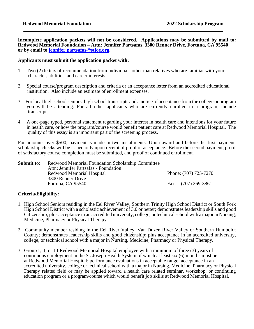**Incomplete application packets will not be considered. Applications may be submitted by mail to: Redwood Memorial Foundation – Attn: Jennifer Partsafas, 3300 Renner Drive, Fortuna, CA 95540 or by email to [jennifer.partsafas@stjoe.org.](mailto:jennifer.partsafas@stjoe.org)** 

#### **Applicants must submit the application packet with:**

- 1. Two (2) letters of recommendation from individuals other than relatives who are familiar with your character, abilities, and career interests.
- 2. Special course/program description and criteria or an acceptance letter from an accredited educational institution. Also include an estimate of enrollment expenses.
- 3. For local high school seniors: high school transcripts and a notice of acceptance from the college or program you will be attending. For all other applicants who are currently enrolled in a program, include transcripts.
- 4. A one-page typed, personal statement regarding your interest in health care and intentions for your future in health care, or how the program/course would benefit patient care at Redwood Memorial Hospital. The quality of this essay is an important part of the screening process.

For amounts over \$500, payment is made in two installments. Upon award and before the first payment, scholarship checks will be issued only upon receipt of proof of acceptance. Before the second payment, proof of satisfactory course completion must be submitted, and proof of continued enrollment.

| Submit to: | Redwood Memorial Foundation Scholarship Committee |                       |
|------------|---------------------------------------------------|-----------------------|
|            | Attn: Jennifer Partsafas - Foundation             |                       |
|            | Redwood Memorial Hospital                         | Phone: (707) 725-7270 |
|            | 3300 Renner Drive                                 |                       |
|            | Fortuna, CA 95540                                 | Fax: (707) 269-3861   |

#### **Criteria/Eligibility:**

- 1. High School Seniors residing in the Eel River Valley, Southern Trinity High School District or South Fork High School District with a scholastic achievement of 3.0 or better; demonstrates leadership skills and good Citizenship; plus acceptance in an accredited university, college, or technical school with a major in Nursing, Medicine, Pharmacy or Physical Therapy.
- 2. Community member residing in the Eel River Valley, Van Duzen River Valley or Southern Humboldt County; demonstrates leadership skills and good citizenship; plus acceptance in an accredited university, college, or technical school with a major in Nursing, Medicine, Pharmacy or Physical Therapy.
- 3. Group I, II, or III Redwood Memorial Hospital employee with a minimum of three (3) years of continuous employment in the St. Joseph Health System of which at least six (6) months must be at Redwood Memorial Hospital; performance evaluations in acceptable range; acceptance in an accredited university, college or technical school with a major in Nursing, Medicine, Pharmacy or Physical Therapy related field or may be applied toward a health care related seminar, workshop, or continuing education program or a program/course which would benefit job skills at Redwood Memorial Hospital.